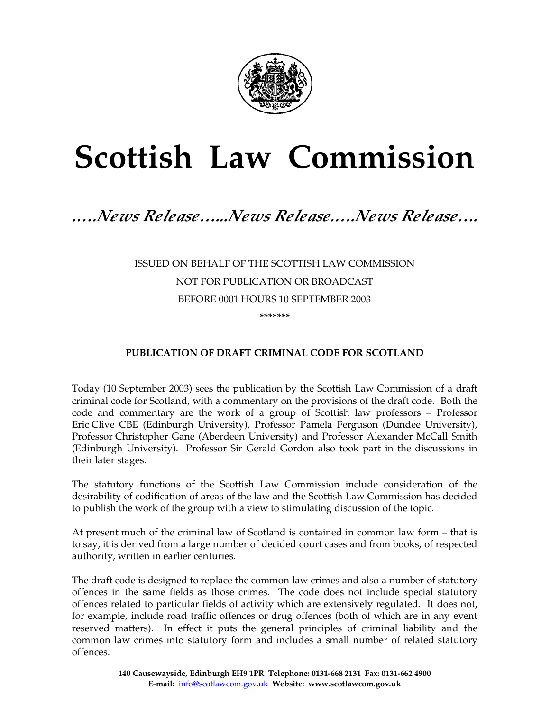

# **Scottish Law Commission**

## *.….News Release…...News Release.….News Release….*

## ISSUED ON BEHALF OF THE SCOTTISH LAW COMMISSION NOT FOR PUBLICATION OR BROADCAST BEFORE 0001 HOURS 10 SEPTEMBER 2003 **\*\*\*\*\*\*\***

### **PUBLICATION OF DRAFT CRIMINAL CODE FOR SCOTLAND**

Today (10 September 2003) sees the publication by the Scottish Law Commission of a draft criminal code for Scotland, with a commentary on the provisions of the draft code. Both the code and commentary are the work of a group of Scottish law professors – Professor Eric Clive CBE (Edinburgh University), Professor Pamela Ferguson (Dundee University), Professor Christopher Gane (Aberdeen University) and Professor Alexander McCall Smith (Edinburgh University). Professor Sir Gerald Gordon also took part in the discussions in their later stages.

The statutory functions of the Scottish Law Commission include consideration of the desirability of codification of areas of the law and the Scottish Law Commission has decided to publish the work of the group with a view to stimulating discussion of the topic.

At present much of the criminal law of Scotland is contained in common law form – that is to say, it is derived from a large number of decided court cases and from books, of respected authority, written in earlier centuries.

The draft code is designed to replace the common law crimes and also a number of statutory offences in the same fields as those crimes. The code does not include special statutory offences related to particular fields of activity which are extensively regulated. It does not, for example, include road traffic offences or drug offences (both of which are in any event reserved matters). In effect it puts the general principles of criminal liability and the common law crimes into statutory form and includes a small number of related statutory offences.